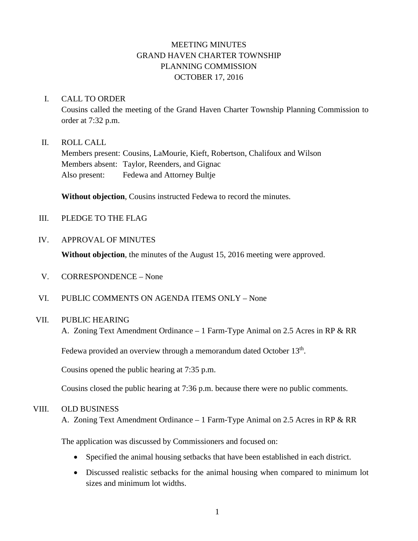# MEETING MINUTES GRAND HAVEN CHARTER TOWNSHIP PLANNING COMMISSION OCTOBER 17, 2016

### I. CALL TO ORDER

Cousins called the meeting of the Grand Haven Charter Township Planning Commission to order at 7:32 p.m.

#### II. ROLL CALL

Members present: Cousins, LaMourie, Kieft, Robertson, Chalifoux and Wilson Members absent: Taylor, Reenders, and Gignac Also present: Fedewa and Attorney Bultje

**Without objection**, Cousins instructed Fedewa to record the minutes.

III. PLEDGE TO THE FLAG

#### IV. APPROVAL OF MINUTES

**Without objection**, the minutes of the August 15, 2016 meeting were approved.

- V. CORRESPONDENCE None
- VI. PUBLIC COMMENTS ON AGENDA ITEMS ONLY None

### VII. PUBLIC HEARING

A. Zoning Text Amendment Ordinance – 1 Farm-Type Animal on 2.5 Acres in RP & RR

Fedewa provided an overview through a memorandum dated October 13<sup>th</sup>.

Cousins opened the public hearing at 7:35 p.m.

Cousins closed the public hearing at 7:36 p.m. because there were no public comments.

#### VIII. OLD BUSINESS

A. Zoning Text Amendment Ordinance – 1 Farm-Type Animal on 2.5 Acres in RP & RR

The application was discussed by Commissioners and focused on:

- Specified the animal housing setbacks that have been established in each district.
- Discussed realistic setbacks for the animal housing when compared to minimum lot sizes and minimum lot widths.